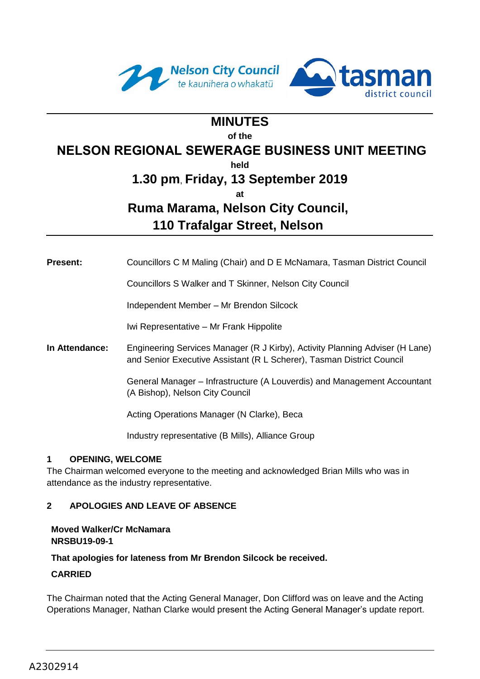



# **MINUTES**

**of the** 

## **NELSON REGIONAL SEWERAGE BUSINESS UNIT MEETING**

**held**

## **1.30 pm**, **Friday, 13 September 2019**

**at**

# **Ruma Marama, Nelson City Council,**

**110 Trafalgar Street, Nelson**

| Councillors C M Maling (Chair) and D E McNamara, Tasman District Council<br><b>Present:</b> |  |  |  |  |
|---------------------------------------------------------------------------------------------|--|--|--|--|
|---------------------------------------------------------------------------------------------|--|--|--|--|

Councillors S Walker and T Skinner, Nelson City Council

Independent Member – Mr Brendon Silcock

Iwi Representative – Mr Frank Hippolite

**In Attendance:** Engineering Services Manager (R J Kirby), Activity Planning Adviser (H Lane) and Senior Executive Assistant (R L Scherer), Tasman District Council

> General Manager – Infrastructure (A Louverdis) and Management Accountant (A Bishop), Nelson City Council

Acting Operations Manager (N Clarke), Beca

Industry representative (B Mills), Alliance Group

## **1 OPENING, WELCOME**

The Chairman welcomed everyone to the meeting and acknowledged Brian Mills who was in attendance as the industry representative.

## **2 APOLOGIES AND LEAVE OF ABSENCE**

## **Moved Walker/Cr McNamara NRSBU19-09-1**

**That apologies for lateness from Mr Brendon Silcock be received.**

## **CARRIED**

The Chairman noted that the Acting General Manager, Don Clifford was on leave and the Acting Operations Manager, Nathan Clarke would present the Acting General Manager's update report.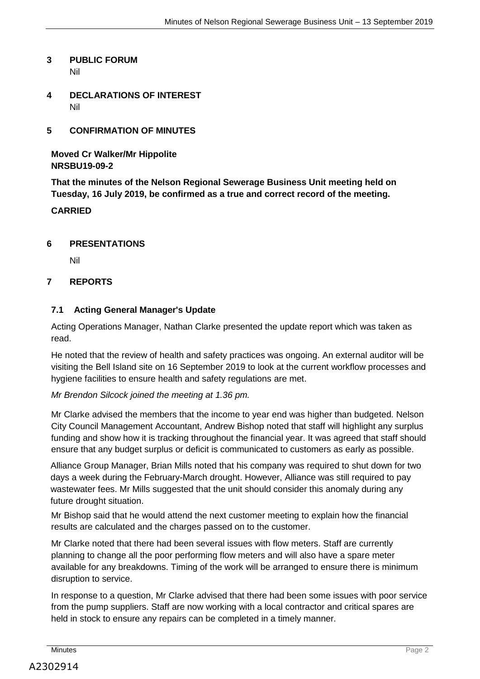#### **3 PUBLIC FORUM**  Nil

**4 DECLARATIONS OF INTEREST**  Nil

## **5 CONFIRMATION OF MINUTES**

**Moved Cr Walker/Mr Hippolite NRSBU19-09-2**

**That the minutes of the Nelson Regional Sewerage Business Unit meeting held on Tuesday, 16 July 2019, be confirmed as a true and correct record of the meeting.**

#### **CARRIED**

#### **6 PRESENTATIONS**

Nil

#### **7 REPORTS**

#### **7.1 Acting General Manager's Update**

Acting Operations Manager, Nathan Clarke presented the update report which was taken as read.

He noted that the review of health and safety practices was ongoing. An external auditor will be visiting the Bell Island site on 16 September 2019 to look at the current workflow processes and hygiene facilities to ensure health and safety regulations are met.

#### *Mr Brendon Silcock joined the meeting at 1.36 pm.*

Mr Clarke advised the members that the income to year end was higher than budgeted. Nelson City Council Management Accountant, Andrew Bishop noted that staff will highlight any surplus funding and show how it is tracking throughout the financial year. It was agreed that staff should ensure that any budget surplus or deficit is communicated to customers as early as possible.

Alliance Group Manager, Brian Mills noted that his company was required to shut down for two days a week during the February-March drought. However, Alliance was still required to pay wastewater fees. Mr Mills suggested that the unit should consider this anomaly during any future drought situation.

Mr Bishop said that he would attend the next customer meeting to explain how the financial results are calculated and the charges passed on to the customer.

Mr Clarke noted that there had been several issues with flow meters. Staff are currently planning to change all the poor performing flow meters and will also have a spare meter available for any breakdowns. Timing of the work will be arranged to ensure there is minimum disruption to service.

In response to a question, Mr Clarke advised that there had been some issues with poor service from the pump suppliers. Staff are now working with a local contractor and critical spares are held in stock to ensure any repairs can be completed in a timely manner.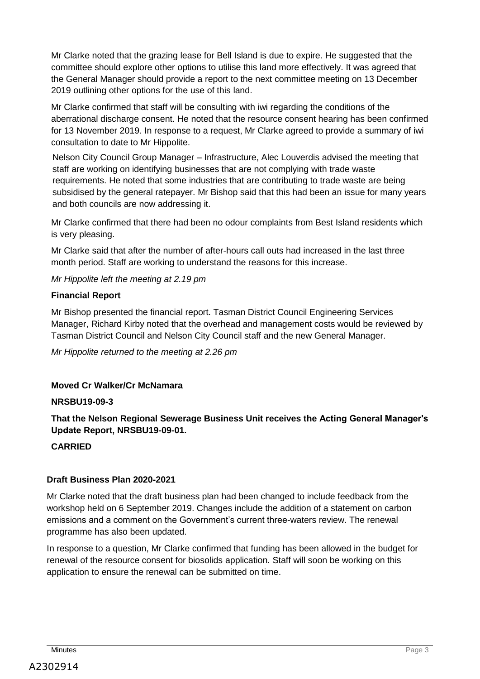Mr Clarke noted that the grazing lease for Bell Island is due to expire. He suggested that the committee should explore other options to utilise this land more effectively. It was agreed that the General Manager should provide a report to the next committee meeting on 13 December 2019 outlining other options for the use of this land.

Mr Clarke confirmed that staff will be consulting with iwi regarding the conditions of the aberrational discharge consent. He noted that the resource consent hearing has been confirmed for 13 November 2019. In response to a request, Mr Clarke agreed to provide a summary of iwi consultation to date to Mr Hippolite.

Nelson City Council Group Manager – Infrastructure, Alec Louverdis advised the meeting that staff are working on identifying businesses that are not complying with trade waste requirements. He noted that some industries that are contributing to trade waste are being subsidised by the general ratepayer. Mr Bishop said that this had been an issue for many years and both councils are now addressing it.

Mr Clarke confirmed that there had been no odour complaints from Best Island residents which is very pleasing.

Mr Clarke said that after the number of after-hours call outs had increased in the last three month period. Staff are working to understand the reasons for this increase.

*Mr Hippolite left the meeting at 2.19 pm* 

## **Financial Report**

Mr Bishop presented the financial report. Tasman District Council Engineering Services Manager, Richard Kirby noted that the overhead and management costs would be reviewed by Tasman District Council and Nelson City Council staff and the new General Manager.

*Mr Hippolite returned to the meeting at 2.26 pm*

## **Moved Cr Walker/Cr McNamara**

## **NRSBU19-09-3**

**That the Nelson Regional Sewerage Business Unit receives the Acting General Manager's Update Report, NRSBU19-09-01.**

## **CARRIED**

## **Draft Business Plan 2020-2021**

Mr Clarke noted that the draft business plan had been changed to include feedback from the workshop held on 6 September 2019. Changes include the addition of a statement on carbon emissions and a comment on the Government's current three-waters review. The renewal programme has also been updated.

In response to a question, Mr Clarke confirmed that funding has been allowed in the budget for renewal of the resource consent for biosolids application. Staff will soon be working on this application to ensure the renewal can be submitted on time.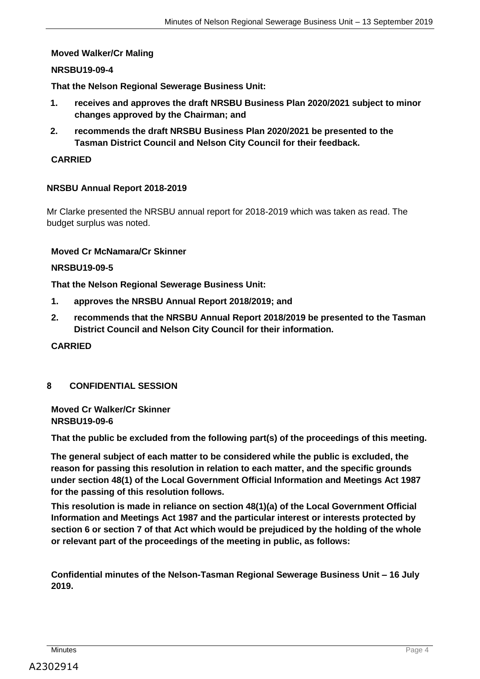#### **Moved Walker/Cr Maling**

#### **NRSBU19-09-4**

**That the Nelson Regional Sewerage Business Unit:**

- **1. receives and approves the draft NRSBU Business Plan 2020/2021 subject to minor changes approved by the Chairman; and**
- **2. recommends the draft NRSBU Business Plan 2020/2021 be presented to the Tasman District Council and Nelson City Council for their feedback.**

### **CARRIED**

#### **NRSBU Annual Report 2018-2019**

Mr Clarke presented the NRSBU annual report for 2018-2019 which was taken as read. The budget surplus was noted.

#### **Moved Cr McNamara/Cr Skinner**

#### **NRSBU19-09-5**

**That the Nelson Regional Sewerage Business Unit:**

- **1. approves the NRSBU Annual Report 2018/2019; and**
- **2. recommends that the NRSBU Annual Report 2018/2019 be presented to the Tasman District Council and Nelson City Council for their information.**

## **CARRIED**

#### **8 CONFIDENTIAL SESSION**

**Moved Cr Walker/Cr Skinner NRSBU19-09-6**

**That the public be excluded from the following part(s) of the proceedings of this meeting.**

**The general subject of each matter to be considered while the public is excluded, the reason for passing this resolution in relation to each matter, and the specific grounds under section 48(1) of the Local Government Official Information and Meetings Act 1987 for the passing of this resolution follows.** 

**This resolution is made in reliance on section 48(1)(a) of the Local Government Official Information and Meetings Act 1987 and the particular interest or interests protected by section 6 or section 7 of that Act which would be prejudiced by the holding of the whole or relevant part of the proceedings of the meeting in public, as follows:**

**Confidential minutes of the Nelson-Tasman Regional Sewerage Business Unit – 16 July 2019.**